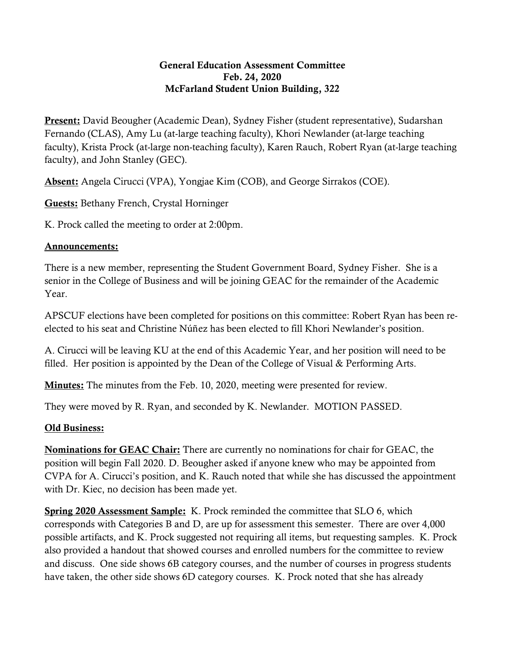## General Education Assessment Committee Feb. 24, 2020 McFarland Student Union Building, 322

**Present:** David Beougher (Academic Dean), Sydney Fisher (student representative), Sudarshan Fernando (CLAS), Amy Lu (at-large teaching faculty), Khori Newlander (at-large teaching faculty), Krista Prock (at-large non-teaching faculty), Karen Rauch, Robert Ryan (at-large teaching faculty), and John Stanley (GEC).

Absent: Angela Cirucci (VPA), Yongjae Kim (COB), and George Sirrakos (COE).

Guests: Bethany French, Crystal Horninger

K. Prock called the meeting to order at 2:00pm.

## Announcements:

There is a new member, representing the Student Government Board, Sydney Fisher. She is a senior in the College of Business and will be joining GEAC for the remainder of the Academic Year.

APSCUF elections have been completed for positions on this committee: Robert Ryan has been reelected to his seat and Christine Núñez has been elected to fill Khori Newlander's position.

A. Cirucci will be leaving KU at the end of this Academic Year, and her position will need to be filled. Her position is appointed by the Dean of the College of Visual & Performing Arts.

**Minutes:** The minutes from the Feb. 10, 2020, meeting were presented for review.

They were moved by R. Ryan, and seconded by K. Newlander. MOTION PASSED.

## Old Business:

Nominations for GEAC Chair: There are currently no nominations for chair for GEAC, the position will begin Fall 2020. D. Beougher asked if anyone knew who may be appointed from CVPA for A. Cirucci's position, and K. Rauch noted that while she has discussed the appointment with Dr. Kiec, no decision has been made yet.

Spring 2020 Assessment Sample: K. Prock reminded the committee that SLO 6, which corresponds with Categories B and D, are up for assessment this semester. There are over 4,000 possible artifacts, and K. Prock suggested not requiring all items, but requesting samples. K. Prock also provided a handout that showed courses and enrolled numbers for the committee to review and discuss. One side shows 6B category courses, and the number of courses in progress students have taken, the other side shows 6D category courses. K. Prock noted that she has already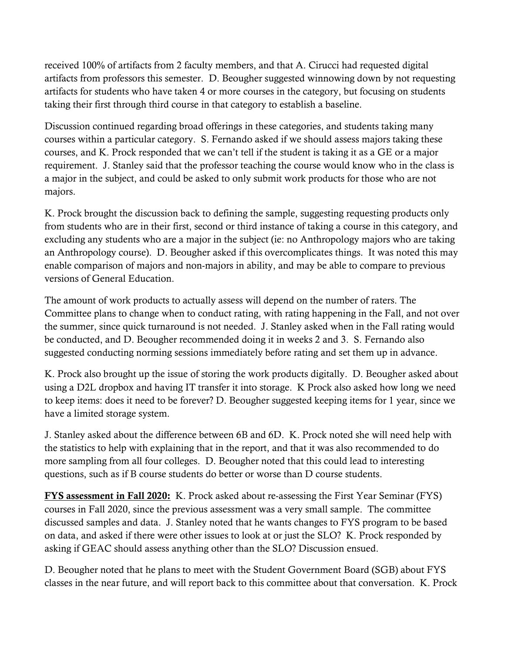received 100% of artifacts from 2 faculty members, and that A. Cirucci had requested digital artifacts from professors this semester. D. Beougher suggested winnowing down by not requesting artifacts for students who have taken 4 or more courses in the category, but focusing on students taking their first through third course in that category to establish a baseline.

Discussion continued regarding broad offerings in these categories, and students taking many courses within a particular category. S. Fernando asked if we should assess majors taking these courses, and K. Prock responded that we can't tell if the student is taking it as a GE or a major requirement. J. Stanley said that the professor teaching the course would know who in the class is a major in the subject, and could be asked to only submit work products for those who are not majors.

K. Prock brought the discussion back to defining the sample, suggesting requesting products only from students who are in their first, second or third instance of taking a course in this category, and excluding any students who are a major in the subject (ie: no Anthropology majors who are taking an Anthropology course). D. Beougher asked if this overcomplicates things. It was noted this may enable comparison of majors and non-majors in ability, and may be able to compare to previous versions of General Education.

The amount of work products to actually assess will depend on the number of raters. The Committee plans to change when to conduct rating, with rating happening in the Fall, and not over the summer, since quick turnaround is not needed. J. Stanley asked when in the Fall rating would be conducted, and D. Beougher recommended doing it in weeks 2 and 3. S. Fernando also suggested conducting norming sessions immediately before rating and set them up in advance.

K. Prock also brought up the issue of storing the work products digitally. D. Beougher asked about using a D2L dropbox and having IT transfer it into storage. K Prock also asked how long we need to keep items: does it need to be forever? D. Beougher suggested keeping items for 1 year, since we have a limited storage system.

J. Stanley asked about the difference between 6B and 6D. K. Prock noted she will need help with the statistics to help with explaining that in the report, and that it was also recommended to do more sampling from all four colleges. D. Beougher noted that this could lead to interesting questions, such as if B course students do better or worse than D course students.

FYS assessment in Fall 2020: K. Prock asked about re-assessing the First Year Seminar (FYS) courses in Fall 2020, since the previous assessment was a very small sample. The committee discussed samples and data. J. Stanley noted that he wants changes to FYS program to be based on data, and asked if there were other issues to look at or just the SLO? K. Prock responded by asking if GEAC should assess anything other than the SLO? Discussion ensued.

D. Beougher noted that he plans to meet with the Student Government Board (SGB) about FYS classes in the near future, and will report back to this committee about that conversation. K. Prock